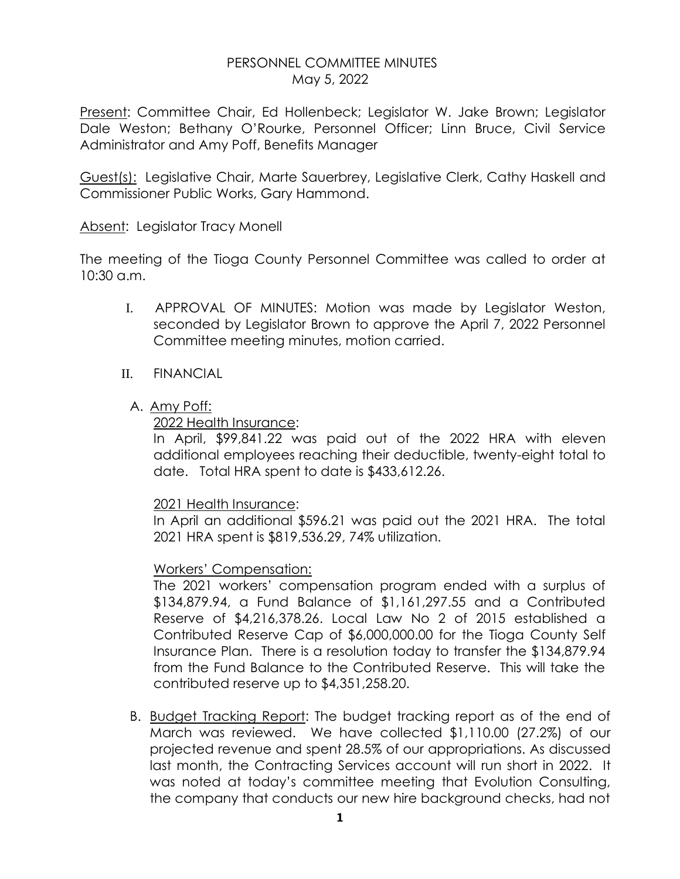## PERSONNEL COMMITTEE MINUTES May 5, 2022

Present: Committee Chair, Ed Hollenbeck; Legislator W. Jake Brown; Legislator Dale Weston; Bethany O'Rourke, Personnel Officer; Linn Bruce, Civil Service Administrator and Amy Poff, Benefits Manager

Guest(s): Legislative Chair, Marte Sauerbrey, Legislative Clerk, Cathy Haskell and Commissioner Public Works, Gary Hammond.

Absent: Legislator Tracy Monell

The meeting of the Tioga County Personnel Committee was called to order at 10:30 a.m.

- I. APPROVAL OF MINUTES: Motion was made by Legislator Weston, seconded by Legislator Brown to approve the April 7, 2022 Personnel Committee meeting minutes, motion carried.
- II. FINANCIAL
	- A. Amy Poff:

2022 Health Insurance:

In April, \$99,841.22 was paid out of the 2022 HRA with eleven additional employees reaching their deductible, twenty-eight total to date. Total HRA spent to date is \$433,612.26.

### 2021 Health Insurance:

In April an additional \$596.21 was paid out the 2021 HRA. The total 2021 HRA spent is \$819,536.29, 74% utilization.

# Workers' Compensation:

The 2021 workers' compensation program ended with a surplus of \$134,879.94, a Fund Balance of \$1,161,297.55 and a Contributed Reserve of \$4,216,378.26. Local Law No 2 of 2015 established a Contributed Reserve Cap of \$6,000,000.00 for the Tioga County Self Insurance Plan. There is a resolution today to transfer the \$134,879.94 from the Fund Balance to the Contributed Reserve. This will take the contributed reserve up to \$4,351,258.20.

B. Budget Tracking Report: The budget tracking report as of the end of March was reviewed. We have collected \$1,110.00 (27.2%) of our projected revenue and spent 28.5% of our appropriations. As discussed last month, the Contracting Services account will run short in 2022. It was noted at today's committee meeting that Evolution Consulting, the company that conducts our new hire background checks, had not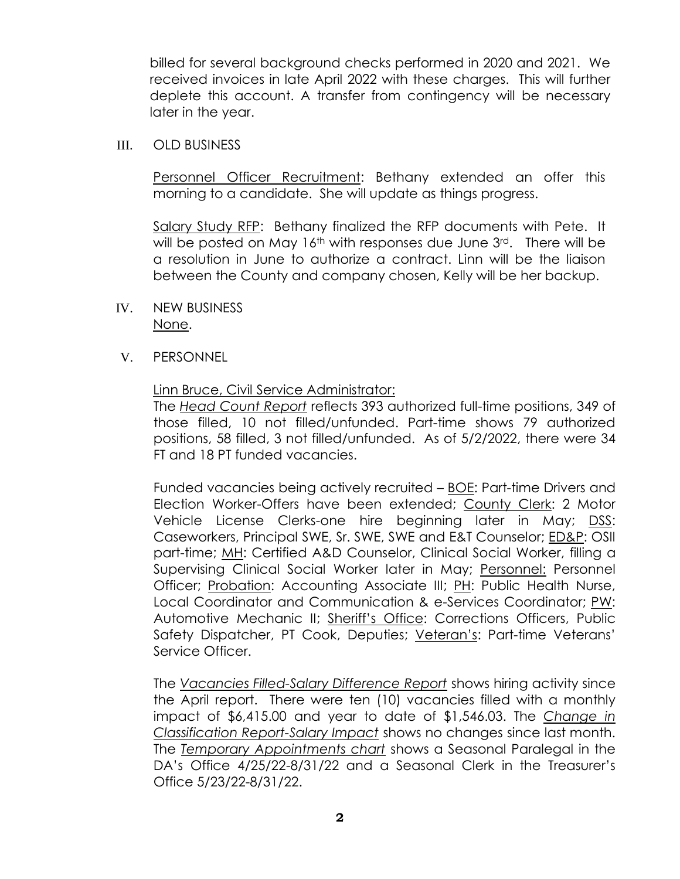billed for several background checks performed in 2020 and 2021. We received invoices in late April 2022 with these charges. This will further deplete this account. A transfer from contingency will be necessary later in the year.

III. OLD BUSINESS

Personnel Officer Recruitment: Bethany extended an offer this morning to a candidate. She will update as things progress.

Salary Study RFP: Bethany finalized the RFP documents with Pete. It will be posted on May  $16<sup>th</sup>$  with responses due June  $3<sup>rd</sup>$ . There will be a resolution in June to authorize a contract. Linn will be the liaison between the County and company chosen, Kelly will be her backup.

- IV. NEW BUSINESS None.
- V. PERSONNEL

### Linn Bruce, Civil Service Administrator:

The *Head Count Report* reflects 393 authorized full-time positions, 349 of those filled, 10 not filled/unfunded. Part-time shows 79 authorized positions, 58 filled, 3 not filled/unfunded. As of 5/2/2022, there were 34 FT and 18 PT funded vacancies.

Funded vacancies being actively recruited – BOE: Part-time Drivers and Election Worker-Offers have been extended; County Clerk: 2 Motor Vehicle License Clerks-one hire beginning later in May; DSS: Caseworkers, Principal SWE, Sr. SWE, SWE and E&T Counselor; ED&P: OSII part-time; MH: Certified A&D Counselor, Clinical Social Worker, filling a Supervising Clinical Social Worker later in May; Personnel: Personnel Officer; Probation: Accounting Associate III; PH: Public Health Nurse, Local Coordinator and Communication & e-Services Coordinator; PW: Automotive Mechanic II; Sheriff's Office: Corrections Officers, Public Safety Dispatcher, PT Cook, Deputies; Veteran's: Part-time Veterans' Service Officer.

The *Vacancies Filled-Salary Difference Report* shows hiring activity since the April report. There were ten (10) vacancies filled with a monthly impact of \$6,415.00 and year to date of \$1,546.03. The *Change in Classification Report-Salary Impact* shows no changes since last month. The *Temporary Appointments chart* shows a Seasonal Paralegal in the DA's Office 4/25/22-8/31/22 and a Seasonal Clerk in the Treasurer's Office 5/23/22-8/31/22.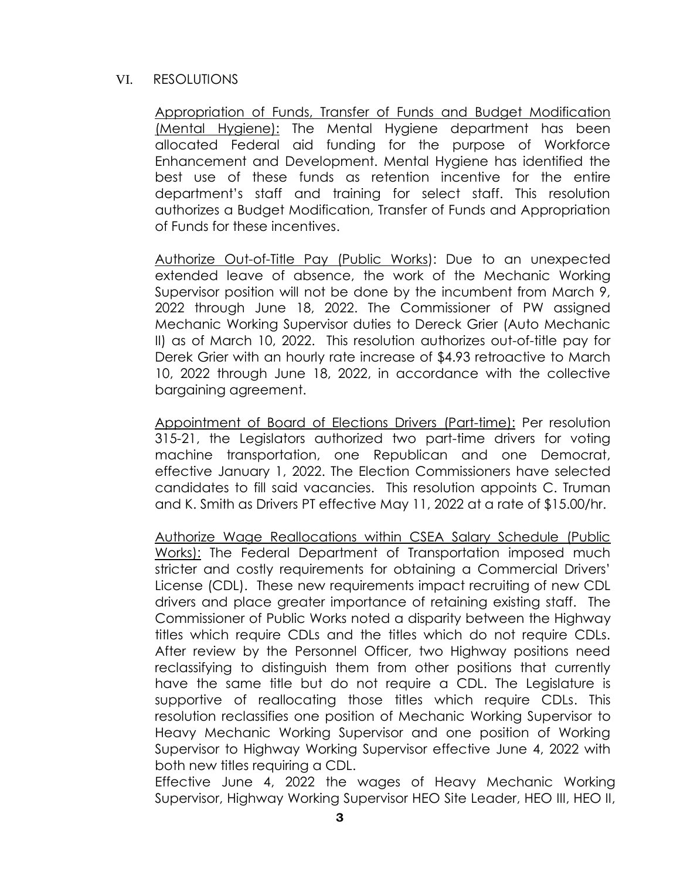#### VI. RESOLUTIONS

Appropriation of Funds, Transfer of Funds and Budget Modification (Mental Hygiene): The Mental Hygiene department has been allocated Federal aid funding for the purpose of Workforce Enhancement and Development. Mental Hygiene has identified the best use of these funds as retention incentive for the entire department's staff and training for select staff. This resolution authorizes a Budget Modification, Transfer of Funds and Appropriation of Funds for these incentives.

Authorize Out-of-Title Pay (Public Works): Due to an unexpected extended leave of absence, the work of the Mechanic Working Supervisor position will not be done by the incumbent from March 9, 2022 through June 18, 2022. The Commissioner of PW assigned Mechanic Working Supervisor duties to Dereck Grier (Auto Mechanic II) as of March 10, 2022. This resolution authorizes out-of-title pay for Derek Grier with an hourly rate increase of \$4.93 retroactive to March 10, 2022 through June 18, 2022, in accordance with the collective bargaining agreement.

Appointment of Board of Elections Drivers (Part-time): Per resolution 315-21, the Legislators authorized two part-time drivers for voting machine transportation, one Republican and one Democrat, effective January 1, 2022. The Election Commissioners have selected candidates to fill said vacancies. This resolution appoints C. Truman and K. Smith as Drivers PT effective May 11, 2022 at a rate of \$15.00/hr.

Authorize Wage Reallocations within CSEA Salary Schedule (Public Works): The Federal Department of Transportation imposed much stricter and costly requirements for obtaining a Commercial Drivers' License (CDL). These new requirements impact recruiting of new CDL drivers and place greater importance of retaining existing staff. The Commissioner of Public Works noted a disparity between the Highway titles which require CDLs and the titles which do not require CDLs. After review by the Personnel Officer, two Highway positions need reclassifying to distinguish them from other positions that currently have the same title but do not require a CDL. The Legislature is supportive of reallocating those titles which require CDLs. This resolution reclassifies one position of Mechanic Working Supervisor to Heavy Mechanic Working Supervisor and one position of Working Supervisor to Highway Working Supervisor effective June 4, 2022 with both new titles requiring a CDL.

Effective June 4, 2022 the wages of Heavy Mechanic Working Supervisor, Highway Working Supervisor HEO Site Leader, HEO III, HEO II,